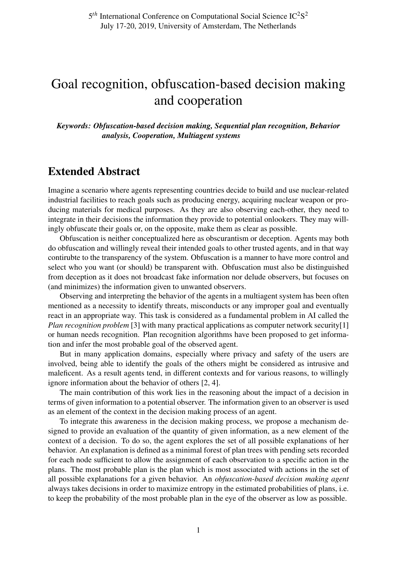## Goal recognition, obfuscation-based decision making and cooperation

*Keywords: Obfuscation-based decision making, Sequential plan recognition, Behavior analysis, Cooperation, Multiagent systems*

## Extended Abstract

Imagine a scenario where agents representing countries decide to build and use nuclear-related industrial facilities to reach goals such as producing energy, acquiring nuclear weapon or producing materials for medical purposes. As they are also observing each-other, they need to integrate in their decisions the information they provide to potential onlookers. They may willingly obfuscate their goals or, on the opposite, make them as clear as possible.

Obfuscation is neither conceptualized here as obscurantism or deception. Agents may both do obfuscation and willingly reveal their intended goals to other trusted agents, and in that way contirubte to the transparency of the system. Obfuscation is a manner to have more control and select who you want (or should) be transparent with. Obfuscation must also be distinguished from deception as it does not broadcast fake information nor delude observers, but focuses on (and minimizes) the information given to unwanted observers.

Observing and interpreting the behavior of the agents in a multiagent system has been often mentioned as a necessity to identify threats, misconducts or any improper goal and eventually react in an appropriate way. This task is considered as a fundamental problem in AI called the *Plan recognition problem* [3] with many practical applications as computer network security[1] or human needs recognition. Plan recognition algorithms have been proposed to get information and infer the most probable goal of the observed agent.

But in many application domains, especially where privacy and safety of the users are involved, being able to identify the goals of the others might be considered as intrusive and maleficent. As a result agents tend, in different contexts and for various reasons, to willingly ignore information about the behavior of others [2, 4].

The main contribution of this work lies in the reasoning about the impact of a decision in terms of given information to a potential observer. The information given to an observer is used as an element of the context in the decision making process of an agent.

To integrate this awareness in the decision making process, we propose a mechanism designed to provide an evaluation of the quantity of given information, as a new element of the context of a decision. To do so, the agent explores the set of all possible explanations of her behavior. An explanation is defined as a minimal forest of plan trees with pending sets recorded for each node sufficient to allow the assignment of each observation to a specific action in the plans. The most probable plan is the plan which is most associated with actions in the set of all possible explanations for a given behavior. An *obfuscation-based decision making agent* always takes decisions in order to maximize entropy in the estimated probabilities of plans, i.e. to keep the probability of the most probable plan in the eye of the observer as low as possible.